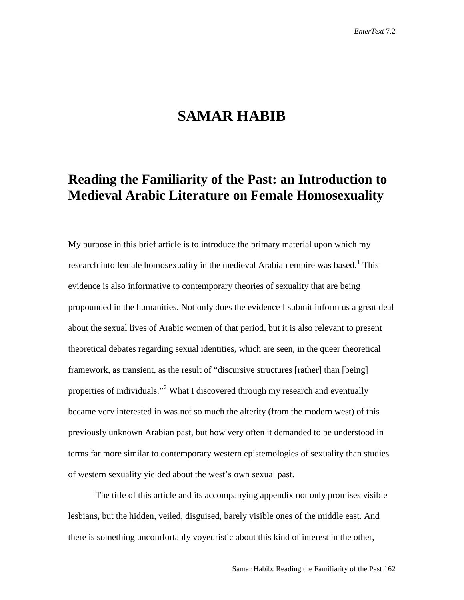## **SAMAR HABIB**

## **Reading the Familiarity of the Past: an Introduction to Medieval Arabic Literature on Female Homosexuality**

My purpose in this brief article is to introduce the primary material upon which my research into female homosexuality in the medieval Arabian empire was based.<sup>[1](#page-10-0)</sup> This evidence is also informative to contemporary theories of sexuality that are being propounded in the humanities. Not only does the evidence I submit inform us a great deal about the sexual lives of Arabic women of that period, but it is also relevant to present theoretical debates regarding sexual identities, which are seen, in the queer theoretical framework, as transient, as the result of "discursive structures [rather] than [being] properties of individuals."[2](#page-10-1) What I discovered through my research and eventually became very interested in was not so much the alterity (from the modern west) of this previously unknown Arabian past, but how very often it demanded to be understood in terms far more similar to contemporary western epistemologies of sexuality than studies of western sexuality yielded about the west's own sexual past.

The title of this article and its accompanying appendix not only promises visible lesbians**,** but the hidden, veiled, disguised, barely visible ones of the middle east. And there is something uncomfortably voyeuristic about this kind of interest in the other,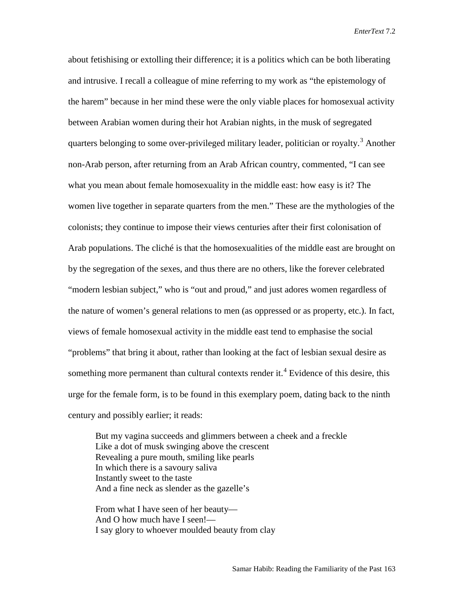*EnterText* 7.2

about fetishising or extolling their difference; it is a politics which can be both liberating and intrusive. I recall a colleague of mine referring to my work as "the epistemology of the harem" because in her mind these were the only viable places for homosexual activity between Arabian women during their hot Arabian nights, in the musk of segregated quarters belonging to some over-privileged military leader, politician or royalty.<sup>[3](#page-10-2)</sup> Another non-Arab person, after returning from an Arab African country, commented, "I can see what you mean about female homosexuality in the middle east: how easy is it? The women live together in separate quarters from the men." These are the mythologies of the colonists; they continue to impose their views centuries after their first colonisation of Arab populations. The cliché is that the homosexualities of the middle east are brought on by the segregation of the sexes, and thus there are no others, like the forever celebrated "modern lesbian subject," who is "out and proud," and just adores women regardless of the nature of women's general relations to men (as oppressed or as property, etc.). In fact, views of female homosexual activity in the middle east tend to emphasise the social "problems" that bring it about, rather than looking at the fact of lesbian sexual desire as something more permanent than cultural contexts render it.<sup>[4](#page-10-3)</sup> Evidence of this desire, this urge for the female form, is to be found in this exemplary poem, dating back to the ninth century and possibly earlier; it reads:

But my vagina succeeds and glimmers between a cheek and a freckle Like a dot of musk swinging above the crescent Revealing a pure mouth, smiling like pearls In which there is a savoury saliva Instantly sweet to the taste And a fine neck as slender as the gazelle's

From what I have seen of her beauty— And O how much have I seen!— I say glory to whoever moulded beauty from clay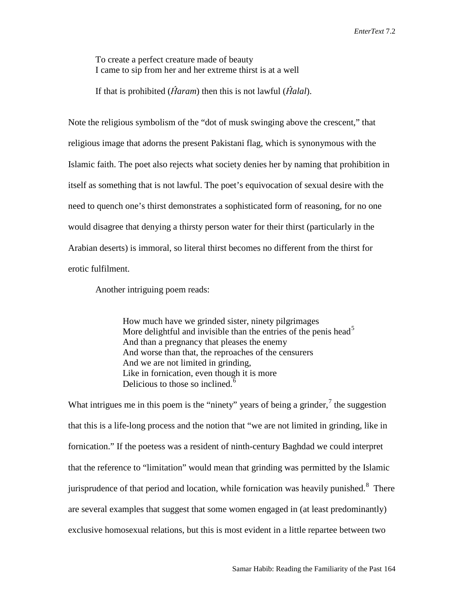To create a perfect creature made of beauty I came to sip from her and her extreme thirst is at a well

If that is prohibited (*Ĥaram*) then this is not lawful (*Ĥalal*).

Note the religious symbolism of the "dot of musk swinging above the crescent," that religious image that adorns the present Pakistani flag, which is synonymous with the Islamic faith. The poet also rejects what society denies her by naming that prohibition in itself as something that is not lawful. The poet's equivocation of sexual desire with the need to quench one's thirst demonstrates a sophisticated form of reasoning, for no one would disagree that denying a thirsty person water for their thirst (particularly in the Arabian deserts) is immoral, so literal thirst becomes no different from the thirst for erotic fulfilment.

Another intriguing poem reads:

How much have we grinded sister, ninety pilgrimages More delightful and invisible than the entries of the penis head<sup>[5](#page-10-4)</sup> And than a pregnancy that pleases the enemy And worse than that, the reproaches of the censurers And we are not limited in grinding, Like in fornication, even though it is more Delicious to those so inclined.<sup>[6](#page-10-5)</sup>

What intrigues me in this poem is the "ninety" years of being a grinder, $\frac{7}{1}$  $\frac{7}{1}$  $\frac{7}{1}$  the suggestion that this is a life-long process and the notion that "we are not limited in grinding, like in fornication." If the poetess was a resident of ninth-century Baghdad we could interpret that the reference to "limitation" would mean that grinding was permitted by the Islamic jurisprudence of that period and location, while fornication was heavily punished.<sup>[8](#page-10-7)</sup> There are several examples that suggest that some women engaged in (at least predominantly) exclusive homosexual relations, but this is most evident in a little repartee between two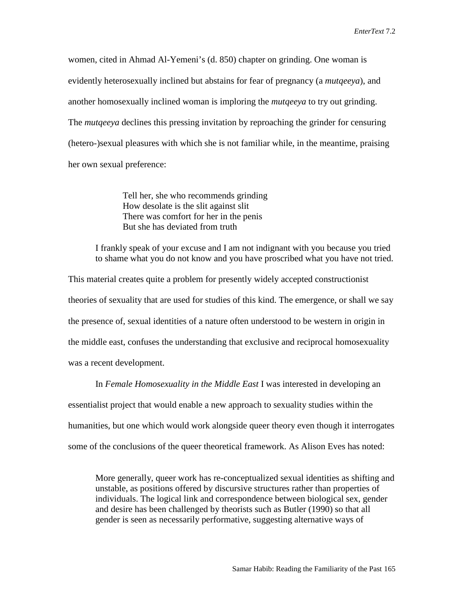women, cited in Ahmad Al-Yemeni's (d. 850) chapter on grinding. One woman is evidently heterosexually inclined but abstains for fear of pregnancy (a *mutqeeya*), and another homosexually inclined woman is imploring the *mutqeeya* to try out grinding. The *mutqeeya* declines this pressing invitation by reproaching the grinder for censuring (hetero-)sexual pleasures with which she is not familiar while, in the meantime, praising her own sexual preference:

> Tell her, she who recommends grinding How desolate is the slit against slit There was comfort for her in the penis But she has deviated from truth

I frankly speak of your excuse and I am not indignant with you because you tried to shame what you do not know and you have proscribed what you have not tried.

This material creates quite a problem for presently widely accepted constructionist theories of sexuality that are used for studies of this kind. The emergence, or shall we say the presence of, sexual identities of a nature often understood to be western in origin in the middle east, confuses the understanding that exclusive and reciprocal homosexuality was a recent development.

In *Female Homosexuality in the Middle East* I was interested in developing an essentialist project that would enable a new approach to sexuality studies within the humanities, but one which would work alongside queer theory even though it interrogates some of the conclusions of the queer theoretical framework. As Alison Eves has noted:

More generally, queer work has re-conceptualized sexual identities as shifting and unstable, as positions offered by discursive structures rather than properties of individuals. The logical link and correspondence between biological sex, gender and desire has been challenged by theorists such as Butler (1990) so that all gender is seen as necessarily performative, suggesting alternative ways of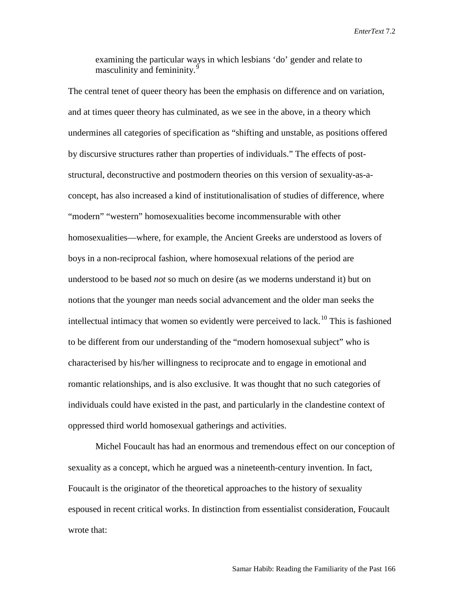*EnterText* 7.2

examining the particular ways in which lesbians 'do' gender and relate to masculinity and femininity.<sup>[9](#page-10-8)</sup>

The central tenet of queer theory has been the emphasis on difference and on variation, and at times queer theory has culminated, as we see in the above, in a theory which undermines all categories of specification as "shifting and unstable, as positions offered by discursive structures rather than properties of individuals." The effects of poststructural, deconstructive and postmodern theories on this version of sexuality-as-aconcept, has also increased a kind of institutionalisation of studies of difference, where "modern" "western" homosexualities become incommensurable with other homosexualities—where, for example, the Ancient Greeks are understood as lovers of boys in a non-reciprocal fashion, where homosexual relations of the period are understood to be based *not* so much on desire (as we moderns understand it) but on notions that the younger man needs social advancement and the older man seeks the intellectual intimacy that women so evidently were perceived to lack.<sup>[10](#page-10-9)</sup> This is fashioned to be different from our understanding of the "modern homosexual subject" who is characterised by his/her willingness to reciprocate and to engage in emotional and romantic relationships, and is also exclusive. It was thought that no such categories of individuals could have existed in the past, and particularly in the clandestine context of oppressed third world homosexual gatherings and activities.

Michel Foucault has had an enormous and tremendous effect on our conception of sexuality as a concept, which he argued was a nineteenth-century invention. In fact, Foucault is the originator of the theoretical approaches to the history of sexuality espoused in recent critical works. In distinction from essentialist consideration, Foucault wrote that: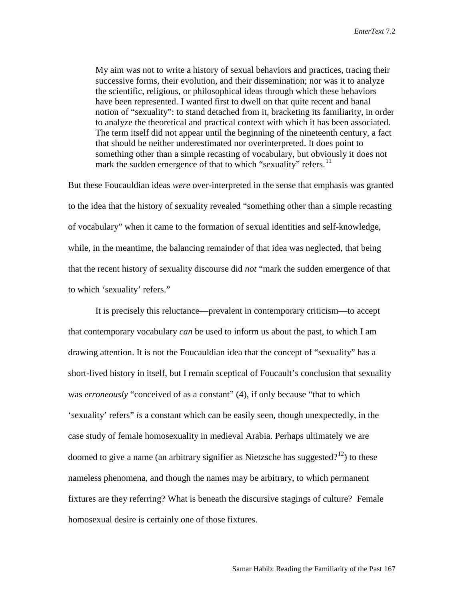My aim was not to write a history of sexual behaviors and practices, tracing their successive forms, their evolution, and their dissemination; nor was it to analyze the scientific, religious, or philosophical ideas through which these behaviors have been represented. I wanted first to dwell on that quite recent and banal notion of "sexuality": to stand detached from it, bracketing its familiarity, in order to analyze the theoretical and practical context with which it has been associated. The term itself did not appear until the beginning of the nineteenth century, a fact that should be neither underestimated nor overinterpreted. It does point to something other than a simple recasting of vocabulary, but obviously it does not mark the sudden emergence of that to which "sexuality" refers.<sup>[11](#page-10-10)</sup>

But these Foucauldian ideas *were* over-interpreted in the sense that emphasis was granted to the idea that the history of sexuality revealed "something other than a simple recasting of vocabulary" when it came to the formation of sexual identities and self-knowledge, while, in the meantime, the balancing remainder of that idea was neglected, that being that the recent history of sexuality discourse did *not* "mark the sudden emergence of that to which 'sexuality' refers."

It is precisely this reluctance—prevalent in contemporary criticism—to accept that contemporary vocabulary *can* be used to inform us about the past, to which I am drawing attention. It is not the Foucauldian idea that the concept of "sexuality" has a short-lived history in itself, but I remain sceptical of Foucault's conclusion that sexuality was *erroneously* "conceived of as a constant" (4), if only because "that to which 'sexuality' refers" *is* a constant which can be easily seen, though unexpectedly, in the case study of female homosexuality in medieval Arabia. Perhaps ultimately we are doomed to give a name (an arbitrary signifier as Nietzsche has suggested?<sup>[12](#page-10-11)</sup>) to these nameless phenomena, and though the names may be arbitrary, to which permanent fixtures are they referring? What is beneath the discursive stagings of culture? Female homosexual desire is certainly one of those fixtures.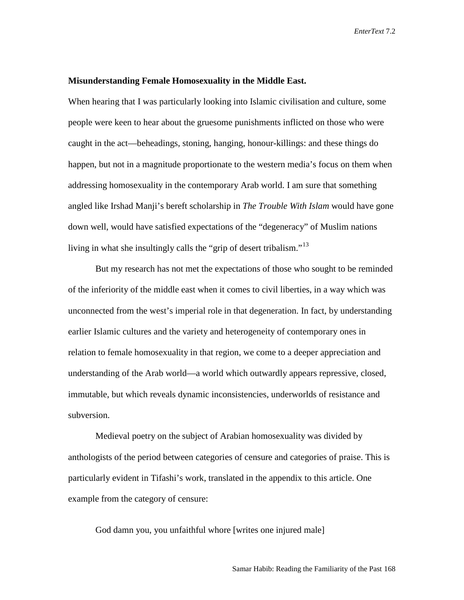## **Misunderstanding Female Homosexuality in the Middle East.**

When hearing that I was particularly looking into Islamic civilisation and culture, some people were keen to hear about the gruesome punishments inflicted on those who were caught in the act—beheadings, stoning, hanging, honour-killings: and these things do happen, but not in a magnitude proportionate to the western media's focus on them when addressing homosexuality in the contemporary Arab world. I am sure that something angled like Irshad Manji's bereft scholarship in *The Trouble With Islam* would have gone down well, would have satisfied expectations of the "degeneracy" of Muslim nations living in what she insultingly calls the "grip of desert tribalism."<sup>[13](#page-10-12)</sup>

 But my research has not met the expectations of those who sought to be reminded of the inferiority of the middle east when it comes to civil liberties, in a way which was unconnected from the west's imperial role in that degeneration. In fact, by understanding earlier Islamic cultures and the variety and heterogeneity of contemporary ones in relation to female homosexuality in that region, we come to a deeper appreciation and understanding of the Arab world—a world which outwardly appears repressive, closed, immutable, but which reveals dynamic inconsistencies, underworlds of resistance and subversion.

Medieval poetry on the subject of Arabian homosexuality was divided by anthologists of the period between categories of censure and categories of praise. This is particularly evident in Tifashi's work, translated in the appendix to this article. One example from the category of censure:

God damn you, you unfaithful whore [writes one injured male]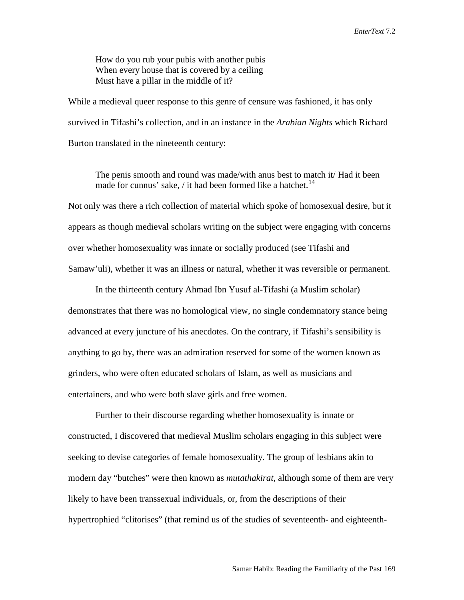How do you rub your pubis with another pubis When every house that is covered by a ceiling Must have a pillar in the middle of it?

While a medieval queer response to this genre of censure was fashioned, it has only survived in Tifashi's collection, and in an instance in the *Arabian Nights* which Richard Burton translated in the nineteenth century:

The penis smooth and round was made/with anus best to match it/ Had it been made for cunnus' sake, / it had been formed like a hatchet.<sup>[14](#page-10-13)</sup>

Not only was there a rich collection of material which spoke of homosexual desire, but it appears as though medieval scholars writing on the subject were engaging with concerns over whether homosexuality was innate or socially produced (see Tifashi and Samaw'uli), whether it was an illness or natural, whether it was reversible or permanent.

In the thirteenth century Ahmad Ibn Yusuf al-Tifashi (a Muslim scholar) demonstrates that there was no homological view, no single condemnatory stance being advanced at every juncture of his anecdotes. On the contrary, if Tifashi's sensibility is anything to go by, there was an admiration reserved for some of the women known as grinders, who were often educated scholars of Islam, as well as musicians and entertainers, and who were both slave girls and free women.

Further to their discourse regarding whether homosexuality is innate or constructed, I discovered that medieval Muslim scholars engaging in this subject were seeking to devise categories of female homosexuality. The group of lesbians akin to modern day "butches" were then known as *mutathakirat*, although some of them are very likely to have been transsexual individuals, or, from the descriptions of their hypertrophied "clitorises" (that remind us of the studies of seventeenth- and eighteenth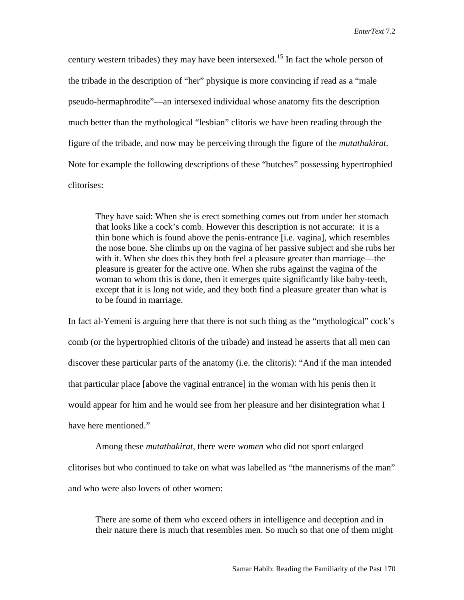century western tribades) they may have been intersexed.<sup>[15](#page-10-14)</sup> In fact the whole person of the tribade in the description of "her" physique is more convincing if read as a "male pseudo-hermaphrodite"—an intersexed individual whose anatomy fits the description much better than the mythological "lesbian" clitoris we have been reading through the figure of the tribade, and now may be perceiving through the figure of the *mutathakirat*. Note for example the following descriptions of these "butches" possessing hypertrophied clitorises:

They have said: When she is erect something comes out from under her stomach that looks like a cock's comb. However this description is not accurate: it is a thin bone which is found above the penis-entrance [i.e. vagina], which resembles the nose bone. She climbs up on the vagina of her passive subject and she rubs her with it. When she does this they both feel a pleasure greater than marriage—the pleasure is greater for the active one. When she rubs against the vagina of the woman to whom this is done, then it emerges quite significantly like baby-teeth, except that it is long not wide, and they both find a pleasure greater than what is to be found in marriage.

In fact al-Yemeni is arguing here that there is not such thing as the "mythological" cock's comb (or the hypertrophied clitoris of the tribade) and instead he asserts that all men can discover these particular parts of the anatomy (i.e. the clitoris): "And if the man intended that particular place [above the vaginal entrance] in the woman with his penis then it would appear for him and he would see from her pleasure and her disintegration what I have here mentioned."

Among these *mutathakirat*, there were *women* who did not sport enlarged clitorises but who continued to take on what was labelled as "the mannerisms of the man" and who were also lovers of other women:

There are some of them who exceed others in intelligence and deception and in their nature there is much that resembles men. So much so that one of them might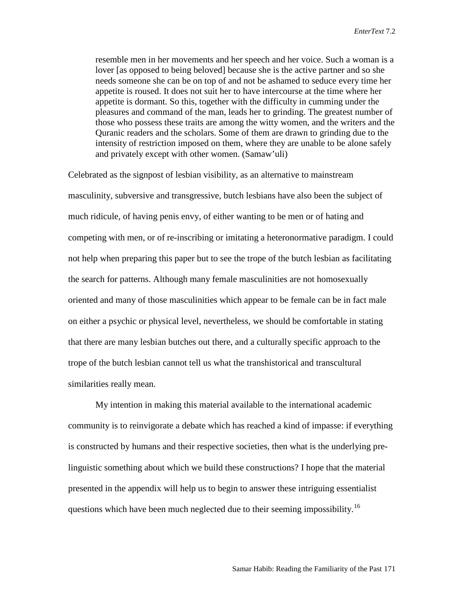resemble men in her movements and her speech and her voice. Such a woman is a lover [as opposed to being beloved] because she is the active partner and so she needs someone she can be on top of and not be ashamed to seduce every time her appetite is roused. It does not suit her to have intercourse at the time where her appetite is dormant. So this, together with the difficulty in cumming under the pleasures and command of the man, leads her to grinding. The greatest number of those who possess these traits are among the witty women, and the writers and the Quranic readers and the scholars. Some of them are drawn to grinding due to the intensity of restriction imposed on them, where they are unable to be alone safely and privately except with other women. (Samaw'uli)

Celebrated as the signpost of lesbian visibility, as an alternative to mainstream masculinity, subversive and transgressive, butch lesbians have also been the subject of much ridicule, of having penis envy, of either wanting to be men or of hating and competing with men, or of re-inscribing or imitating a heteronormative paradigm. I could not help when preparing this paper but to see the trope of the butch lesbian as facilitating the search for patterns. Although many female masculinities are not homosexually oriented and many of those masculinities which appear to be female can be in fact male on either a psychic or physical level, nevertheless, we should be comfortable in stating that there are many lesbian butches out there, and a culturally specific approach to the trope of the butch lesbian cannot tell us what the transhistorical and transcultural similarities really mean.

My intention in making this material available to the international academic community is to reinvigorate a debate which has reached a kind of impasse: if everything is constructed by humans and their respective societies, then what is the underlying prelinguistic something about which we build these constructions? I hope that the material presented in the appendix will help us to begin to answer these intriguing essentialist questions which have been much neglected due to their seeming impossibility.<sup>[16](#page-10-15)</sup>